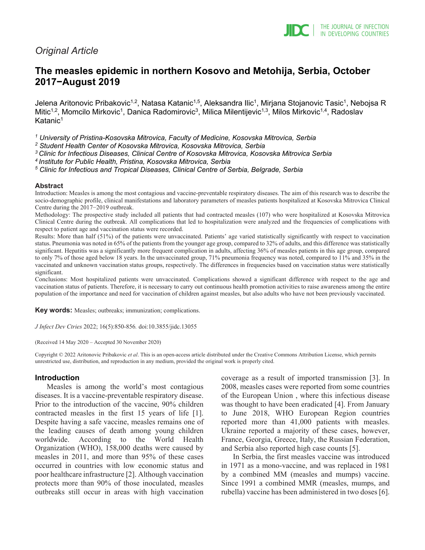

# *Original Article*

# **The measles epidemic in northern Kosovo and Metohija, Serbia, October 2017−August 2019**

Jelena Aritonovic Pribakovic<sup>1,2</sup>, Natasa Katanic<sup>1,5</sup>, Aleksandra Ilic<sup>1</sup>, Mirjana Stojanovic Tasic<sup>1</sup>, Nebojsa R Mitic<sup>1,2</sup>, Momcilo Mirkovic<sup>1</sup>, Danica Radomirovic<sup>3</sup>, Milica Milentijevic<sup>1,3</sup>, Milos Mirkovic<sup>1,4</sup>, Radoslav  $K$ atanic<sup>1</sup>

*<sup>1</sup> University of Pristina-Kosovska Mitrovica, Faculty of Medicine, Kosovska Mitrovica, Serbia*

*<sup>2</sup> Student Health Center of Kosovska Mitrovica, Kosovska Mitrovica, Serbia*

*3 Clinic for Infectious Diseases, Clinical Centre of Kosovska Mitrovica, Kosovska Mitrovica Serbia*

*4 Institute for Public Health, Pristina, Kosovska Mitrovica, Serbia*

*<sup>5</sup> Clinic for Infectious and Tropical Diseases, Clinical Centre of Serbia, Belgrade, Serbia*

#### **Abstract**

Introduction: Measles is among the most contagious and vaccine-preventable respiratory diseases. The aim of this research was to describe the socio-demographic profile, clinical manifestations and laboratory parameters of measles patients hospitalized at Kosovska Mitrovica Clinical Centre during the 2017−2019 outbreak.

Methodology: The prospective study included all patients that had contracted measles (107) who were hospitalized at Kosovska Mitrovica Clinical Centre during the outbreak. All complications that led to hospitalization were analyzed and the frequencies of complications with respect to patient age and vaccination status were recorded.

Results: More than half (51%) of the patients were unvaccinated. Patients' age varied statistically significantly with respect to vaccination status. Pneumonia was noted in 65% of the patients from the younger age group, compared to 32% of adults, and this difference was statistically significant. Hepatitis was a significantly more frequent complication in adults, affecting 36% of measles patients in this age group, compared to only 7% of those aged below 18 years. In the unvaccinated group, 71% pneumonia frequency was noted, compared to 11% and 35% in the vaccinated and unknown vaccination status groups, respectively. The differences in frequencies based on vaccination status were statistically significant.

Conclusions: Most hospitalized patients were unvaccinated. Complications showed a significant difference with respect to the age and vaccination status of patients. Therefore, it is necessary to carry out continuous health promotion activities to raise awareness among the entire population of the importance and need for vaccination of children against measles, but also adults who have not been previously vaccinated.

**Key words:** Measles; outbreaks; immunization; complications.

*J Infect Dev Ctries* 2022; 16(5):850-856*.* doi:10.3855/jidc.13055

(Received 14 May 2020 – Accepted 30 November 2020)

Copyright © 2022 Aritonovic Pribakovic *et al*. This is an open-access article distributed under the Creative Commons Attribution License, which permits unrestricted use, distribution, and reproduction in any medium, provided the original work is properly cited.

#### **Introduction**

Measles is among the world's most contagious diseases. It is a vaccine-preventable respiratory disease. Prior to the introduction of the vaccine, 90% children contracted measles in the first 15 years of life [1]. Despite having a safe vaccine, measles remains one of the leading causes of death among young children worldwide. According to the World Health Organization (WHO), 158,000 deaths were caused by measles in 2011, and more than 95% of these cases occurred in countries with low economic status and poor healthcare infrastructure [2]. Although vaccination protects more than 90% of those inoculated, measles outbreaks still occur in areas with high vaccination

coverage as a result of imported transmission [3]. In 2008, measles cases were reported from some countries of the European Union , where this infectious disease was thought to have been eradicated [4]. From January to June 2018, WHO European Region countries reported more than 41,000 patients with measles. Ukraine reported a majority of these cases, however, France, Georgia, Greece, Italy, the Russian Federation, and Serbia also reported high case counts [5].

In Serbia, the first measles vaccine was introduced in 1971 as a mono-vaccine, and was replaced in 1981 by a combined MM (measles and mumps) vaccine. Since 1991 a combined MMR (measles, mumps, and rubella) vaccine has been administered in two doses [6].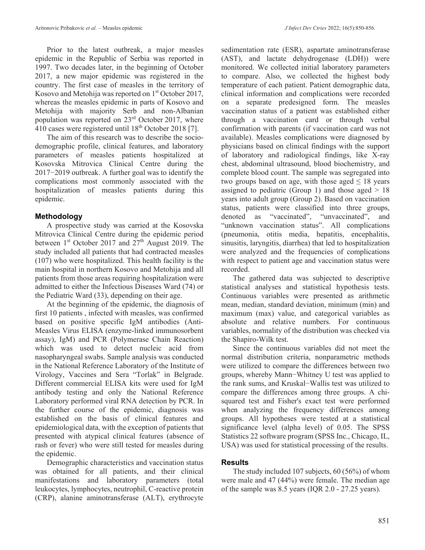Prior to the latest outbreak, a major measles epidemic in the Republic of Serbia was reported in 1997. Two decades later, in the beginning of October 2017, a new major epidemic was registered in the country. The first case of measles in the territory of Kosovo and Metohija was reported on  $1<sup>st</sup>$  October 2017, whereas the measles epidemic in parts of Kosovo and Metohija with majority Serb and non-Albanian population was reported on 23rd October 2017, where  $410$  cases were registered until  $18<sup>th</sup>$  October 2018 [7].

The aim of this research was to describe the sociodemographic profile, clinical features, and laboratory parameters of measles patients hospitalized at Kosovska Mitrovica Clinical Centre during the 2017−2019 outbreak. A further goal was to identify the complications most commonly associated with the hospitalization of measles patients during this epidemic.

# **Methodology**

A prospective study was carried at the Kosovska Mitrovica Clinical Centre during the epidemic period between  $1<sup>st</sup>$  October 2017 and  $27<sup>th</sup>$  August 2019. The study included all patients that had contracted measles (107) who were hospitalized. This health facility is the main hospital in northern Kosovo and Metohija and all patients from those areas requiring hospitalization were admitted to either the Infectious Diseases Ward (74) or the Pediatric Ward (33), depending on their age.

At the beginning of the epidemic, the diagnosis of first 10 patients , infected with measles, was confirmed based on positive specific IgM antibodies (Anti-Measles Virus ELISA (enzyme-linked immunosorbent assay), IgM) and PCR (Polymerase Chain Reaction) which was used to detect nucleic acid from nasopharyngeal swabs. Sample analysis was conducted in the National Reference Laboratory of the Institute of Virology, Vaccines and Sera "Torlak" in Belgrade. Different commercial ELISA kits were used for IgM antibody testing and only the National Reference Laboratory performed viral RNA detection by PCR. In the further course of the epidemic, diagnosis was established on the basis of clinical features and epidemiological data, with the exception of patients that presented with atypical clinical features (absence of rash or fever) who were still tested for measles during the epidemic.

Demographic characteristics and vaccination status was obtained for all patients, and their clinical manifestations and laboratory parameters (total leukocytes, lymphocytes, neutrophil, C-reactive protein (CRP), alanine aminotransferase (ALT), erythrocyte

sedimentation rate (ESR), aspartate aminotransferase (AST), and lactate dehydrogenase (LDH)) were monitored. We collected initial laboratory parameters to compare. Also, we collected the highest body temperature of each patient. Patient demographic data, clinical information and complications were recorded on a separate predesigned form. The measles vaccination status of a patient was established either through a vaccination card or through verbal confirmation with parents (if vaccination card was not available). Measles complications were diagnosed by physicians based on clinical findings with the support of laboratory and radiological findings, like X-ray chest, abdominal ultrasound, blood biochemistry, and complete blood count. The sample was segregated into two groups based on age, with those aged  $\leq 18$  years assigned to pediatric (Group 1) and those aged  $> 18$ years into adult group (Group 2). Based on vaccination status, patients were classified into three groups, denoted as "vaccinated", "unvaccinated", and "unknown vaccination status". All complications (pneumonia, otitis media, hepatitis, encephalitis, sinusitis, laryngitis, diarrhea) that led to hospitalization were analyzed and the frequencies of complications with respect to patient age and vaccination status were recorded.

The gathered data was subjected to descriptive statistical analyses and statistical hypothesis tests. Continuous variables were presented as arithmetic mean, median, standard deviation, minimum (min) and maximum (max) value, and categorical variables as absolute and relative numbers. For continuous variables, normality of the distribution was checked via the Shapiro-Wilk test.

Since the continuous variables did not meet the normal distribution criteria, nonparametric methods were utilized to compare the differences between two groups, whereby Mann−Whitney U test was applied to the rank sums, and Kruskal−Wallis test was utilized to compare the differences among three groups. A chisquared test and Fisher's exact test were performed when analyzing the frequency differences among groups. All hypotheses were tested at a statistical significance level (alpha level) of 0.05. The SPSS Statistics 22 software program (SPSS Inc., Chicago, IL, USA) was used for statistical processing of the results.

## **Results**

The study included 107 subjects, 60 (56%) of whom were male and 47 (44%) were female. The median age of the sample was 8.5 years (IQR 2.0 - 27.25 years).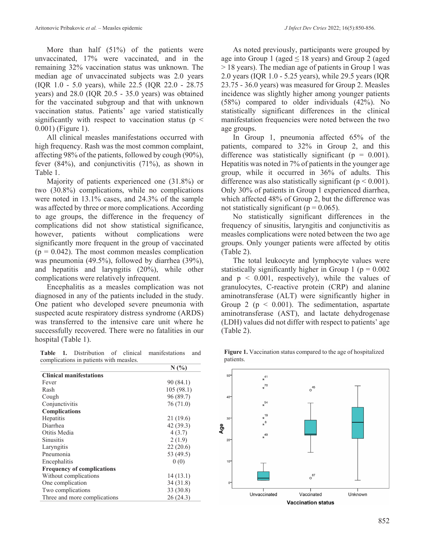More than half (51%) of the patients were unvaccinated, 17% were vaccinated, and in the remaining 32% vaccination status was unknown. The median age of unvaccinated subjects was 2.0 years (IQR 1.0 - 5.0 years), while 22.5 (IQR 22.0 - 28.75 years) and 28.0 (IQR 20.5 - 35.0 years) was obtained for the vaccinated subgroup and that with unknown vaccination status. Patients' age varied statistically significantly with respect to vaccination status ( $p \leq$ 0.001) (Figure 1).

All clinical measles manifestations occurred with high frequency. Rash was the most common complaint, affecting 98% of the patients, followed by cough (90%), fever (84%), and conjunctivitis (71%), as shown in Table 1.

Majority of patients experienced one (31.8%) or two (30.8%) complications, while no complications were noted in 13.1% cases, and 24.3% of the sample was affected by three or more complications. According to age groups, the difference in the frequency of complications did not show statistical significance, however, patients without complications were significantly more frequent in the group of vaccinated  $(p = 0.042)$ . The most common measles complication was pneumonia (49.5%), followed by diarrhea (39%), and hepatitis and laryngitis (20%), while other complications were relatively infrequent.

Encephalitis as a measles complication was not diagnosed in any of the patients included in the study. One patient who developed severe pneumonia with suspected acute respiratory distress syndrome (ARDS) was transferred to the intensive care unit where he successfully recovered. There were no fatalities in our hospital (Table 1).

**Table 1.** Distribution of clinical manifestations and complications in patients with measles.

|                                   | N(%       |
|-----------------------------------|-----------|
| <b>Clinical manifestations</b>    |           |
| Fever                             | 90 (84.1) |
| Rash                              | 105(98.1) |
| Cough                             | 96 (89.7) |
| Conjunctivitis                    | 76 (71.0) |
| <b>Complications</b>              |           |
| Hepatitis                         | 21(19.6)  |
| Diarrhea                          | 42(39.3)  |
| Otitis Media                      | 4(3.7)    |
| <b>Sinusitis</b>                  | 2(1.9)    |
| Laryngitis                        | 22(20.6)  |
| Pneumonia                         | 53 (49.5) |
| Encephalitis                      | 0(0)      |
| <b>Frequency of complications</b> |           |
| Without complications             | 14(13.1)  |
| One complication                  | 34(31.8)  |
| Two complications                 | 33 (30.8) |
| Three and more complications      | 26(24.3)  |

As noted previously, participants were grouped by age into Group 1 (aged  $\leq$  18 years) and Group 2 (aged > 18 years). The median age of patients in Group 1 was 2.0 years (IQR 1.0 - 5.25 years), while 29.5 years (IQR 23.75 - 36.0 years) was measured for Group 2. Measles incidence was slightly higher among younger patients (58%) compared to older individuals (42%). No statistically significant differences in the clinical manifestation frequencies were noted between the two age groups.

In Group 1, pneumonia affected 65% of the patients, compared to 32% in Group 2, and this difference was statistically significant ( $p = 0.001$ ). Hepatitis was noted in 7% of patients in the younger age group, while it occurred in 36% of adults. This difference was also statistically significant ( $p < 0.001$ ). Only 30% of patients in Group 1 experienced diarrhea, which affected 48% of Group 2, but the difference was not statistically significant ( $p = 0.065$ ).

No statistically significant differences in the frequency of sinusitis, laryngitis and conjunctivitis as measles complications were noted between the two age groups. Only younger patients were affected by otitis (Table 2).

The total leukocyte and lymphocyte values were statistically significantly higher in Group 1 ( $p = 0.002$ ) and  $p \leq 0.001$ , respectively), while the values of granulocytes, C-reactive protein (CRP) and alanine aminotransferase (ALT) were significantly higher in Group 2 ( $p \le 0.001$ ). The sedimentation, aspartate aminotransferase (AST), and lactate dehydrogenase (LDH) values did not differ with respect to patients' age (Table 2).



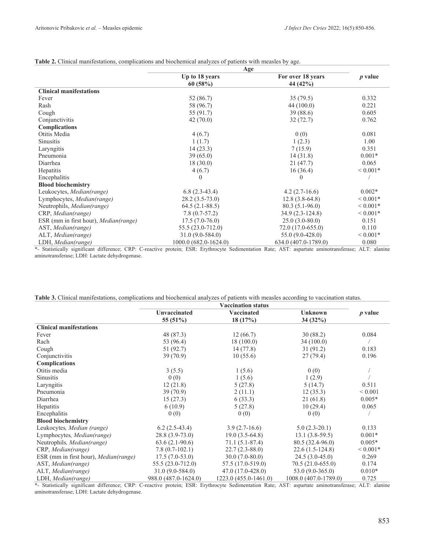|                                              | Age                   |                      |                |
|----------------------------------------------|-----------------------|----------------------|----------------|
|                                              | Up to 18 years        | For over 18 years    | <i>p</i> value |
|                                              | 60(58%)               | 44 (42%)             |                |
| <b>Clinical manifestations</b>               |                       |                      |                |
| Fever                                        | 52 (86.7)             | 35(79.5)             | 0.332          |
| Rash                                         | 58 (96.7)             | 44(100.0)            | 0.221          |
| Cough                                        | 55 (91.7)             | 39(88.6)             | 0.605          |
| Conjunctivitis                               | 42(70.0)              | 32(72.7)             | 0.762          |
| <b>Complications</b>                         |                       |                      |                |
| Otitis Media                                 | 4(6.7)                | 0(0)                 | 0.081          |
| <b>Sinusitis</b>                             | 1(1.7)                | 1(2.3)               | 1.00           |
| Laryngitis                                   | 14(23.3)              | 7(15.9)              | 0.351          |
| Pneumonia                                    | 39(65.0)              | 14(31.8)             | $0.001*$       |
| Diarrhea                                     | 18(30.0)              | 21(47.7)             | 0.065          |
| Hepatitis                                    | 4(6.7)                | 16(36.4)             | ${}< 0.001*$   |
| Encephalitis                                 | $\theta$              | $\Omega$             |                |
| <b>Blood biochemistry</b>                    |                       |                      |                |
| Leukocytes, Median(range)                    | $6.8(2.3-43.4)$       | $4.2(2.7-16.6)$      | $0.002*$       |
| Lymphocytes, Median(range)                   | $28.2(3.5-73.0)$      | $12.8(3.8-64.8)$     | ${}< 0.001*$   |
| Neutrophils, Median(range)                   | $64.5(2.1-88.5)$      | $80.3(5.1-96.0)$     | ${}< 0.001*$   |
| CRP, Median(range)                           | $7.8(0.7-57.2)$       | 34.9 (2.3-124.8)     | ${}< 0.001*$   |
| ESR (mm in first hour), <i>Median(range)</i> | $17.5(7.0-76.0)$      | $25.0(3.0-80.0)$     | 0.151          |
| AST, Median(range)                           | $55.5(23.0-712.0)$    | 72.0 (17.0-655.0)    | 0.110          |
| ALT, Median(range)                           | 31.0 (9.0-584.0)      | 55.0 (9.0-428.0)     | ${}< 0.001*$   |
| LDH, Median(range)                           | 1000.0 (682.0-1624.0) | 634.0 (407.0-1789.0) | 0.080          |

**Table 2.** Clinical manifestations, complications and biochemical analyzes of patients with measles by age.

\*- Statistically significant difference; CRP: C-reactive protein; ESR: Erythrocyte Sedimentation Rate; AST: aspartate aminotransferase; ALT: alanine aminotransferase; LDH: Lactate dehydrogenase.

|                                       | <b>Vaccination status</b> |                       |                       |              |
|---------------------------------------|---------------------------|-----------------------|-----------------------|--------------|
|                                       | Unvaccinated              | Vaccinated            | <b>Unknown</b>        | $p$ value    |
|                                       | 55 (51%)                  | 18(17%)               | 34 (32%)              |              |
| <b>Clinical manifestations</b>        |                           |                       |                       |              |
| Fever                                 | 48 (87.3)                 | 12(66.7)              | 30(88.2)              | 0.084        |
| Rach                                  | 53 (96.4)                 | 18(100.0)             | 34(100.0)             |              |
| Cough                                 | 51 (92.7)                 | 14(77.8)              | 31(91.2)              | 0.183        |
| Conjunctivitis                        | 39(70.9)                  | 10(55.6)              | 27(79.4)              | 0.196        |
| <b>Complications</b>                  |                           |                       |                       |              |
| Otitis media                          | 3(5.5)                    | 1(5.6)                | 0(0)                  |              |
| Sinusitis                             | 0(0)                      | 1(5.6)                | 1(2.9)                |              |
| Laryngitis                            | 12(21.8)                  | 5(27.8)               | 5(14.7)               | 0.511        |
| Pneumonia                             | 39(70.9)                  | 2(11.1)               | 12(35.3)              | ${}< 0.001$  |
| Diarrhea                              | 15(27.3)                  | 6(33.3)               | 21(61.8)              | $0.005*$     |
| Hepatitis                             | 6(10.9)                   | 5(27.8)               | 10(29.4)              | 0.065        |
| Encephalitis                          | 0(0)                      | 0(0)                  | 0(0)                  |              |
| <b>Blood biochemistry</b>             |                           |                       |                       |              |
| Leukocytes, Median (range)            | $6.2(2.5-43.4)$           | $3.9(2.7-16.6)$       | $5.0(2.3-20.1)$       | 0.133        |
| Lymphocytes, Median(range)            | $28.8(3.9-73.0)$          | $19.0(3.5-64.8)$      | $13.1 (3.8-59.5)$     | $0.001*$     |
| Neutrophils, Median(range)            | $63.6(2.1-90.6)$          | $71.1(5.1-87.4)$      | 80.5 (32.4-96.0)      | $0.005*$     |
| CRP, Median(range)                    | $7.8(0.7-102.1)$          | $22.7(2.3-88.0)$      | $22.6(1.5-124.8)$     | ${}< 0.001*$ |
| ESR (mm in first hour), Median(range) | $17.5(7.0-53.0)$          | $30.0(7.0-80.0)$      | $24.5(3.0-45.0)$      | 0.269        |
| AST, Median(range)                    | 55.5 (23.0-712.0)         | 57.5 (17.0-519.0)     | $70.5(21.0-655.0)$    | 0.174        |
| ALT, Median(range)                    | $31.0(9.0-584.0)$         | $47.0(17.0-428.0)$    | $53.0(9.0-365.0)$     | $0.010*$     |
| LDH, Median(range)                    | 988.0 (487.0-1624.0)      | 1223.0 (455.0-1461.0) | 1008.0 (407.0-1789.0) | 0.725        |

\*- Statistically significant difference; CRP: C-reactive protein; ESR: Erythrocyte Sedimentation Rate; AST: aspartate aminotransferase; ALT: alanine aminotransferase; LDH: Lactate dehydrogenase.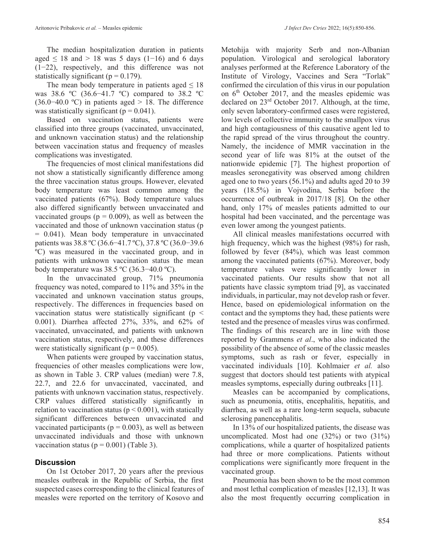The median hospitalization duration in patients aged  $\leq 18$  and  $> 18$  was 5 days (1-16) and 6 days (1−22), respectively, and this difference was not statistically significant ( $p = 0.179$ ).

The mean body temperature in patients aged  $\leq 18$ was 38.6 ºC (36.6−41.7 ºC) compared to 38.2 ºC (36.0−40.0 ºC) in patients aged > 18. The difference was statistically significant ( $p = 0.041$ ).

Based on vaccination status, patients were classified into three groups (vaccinated, unvaccinated, and unknown vaccination status) and the relationship between vaccination status and frequency of measles complications was investigated.

The frequencies of most clinical manifestations did not show a statistically significantly difference among the three vaccination status groups. However, elevated body temperature was least common among the vaccinated patients (67%). Body temperature values also differed significantly between unvaccinated and vaccinated groups ( $p = 0.009$ ), as well as between the vaccinated and those of unknown vaccination status (p = 0.041). Mean body temperature in unvaccinated patients was 38.8 ºC (36.6−41.7 ºC), 37.8 ºC (36.0−39.6 ºC) was measured in the vaccinated group, and in patients with unknown vaccination status the mean body temperature was 38.5 ºC (36.3−40.0 ºC).

In the unvaccinated group, 71% pneumonia frequency was noted, compared to 11% and 35% in the vaccinated and unknown vaccination status groups, respectively. The differences in frequencies based on vaccination status were statistically significant ( $p <$ 0.001). Diarrhea affected 27%, 33%, and 62% of vaccinated, unvaccinated, and patients with unknown vaccination status, respectively, and these differences were statistically significant ( $p = 0.005$ ).

When patients were grouped by vaccination status, frequencies of other measles complications were low, as shown in Table 3. CRP values (median) were 7.8, 22.7, and 22.6 for unvaccinated, vaccinated, and patients with unknown vaccination status, respectively. CRP values differed statistically significantly in relation to vaccination status ( $p < 0.001$ ), with statically significant differences between unvaccinated and vaccinated participants ( $p = 0.003$ ), as well as between unvaccinated individuals and those with unknown vaccination status ( $p = 0.001$ ) (Table 3).

#### **Discussion**

On 1st October 2017, 20 years after the previous measles outbreak in the Republic of Serbia, the first suspected cases corresponding to the clinical features of measles were reported on the territory of Kosovo and

Metohija with majority Serb and non-Albanian population. Virological and serological laboratory analyses performed at the Reference Laboratory of the Institute of Virology, Vaccines and Sera "Torlak" confirmed the circulation of this virus in our population on  $6<sup>th</sup>$  October 2017, and the measles epidemic was declared on 23rd October 2017. Although, at the time, only seven laboratory-confirmed cases were registered, low levels of collective immunity to the smallpox virus and high contagiousness of this causative agent led to the rapid spread of the virus throughout the country. Namely, the incidence of MMR vaccination in the second year of life was 81% at the outset of the nationwide epidemic [7]. The highest proportion of measles seronegativity was observed among children aged one to two years (56.1%) and adults aged 20 to 39 years (18.5%) in Vojvodina, Serbia before the occurrence of outbreak in 2017/18 [8]. On the other hand, only 17% of measles patients admitted to our hospital had been vaccinated, and the percentage was even lower among the youngest patients.

All clinical measles manifestations occurred with high frequency, which was the highest (98%) for rash, followed by fever (84%), which was least common among the vaccinated patients (67%). Moreover, body temperature values were significantly lower in vaccinated patients. Our results show that not all patients have classic symptom triad [9], as vaccinated individuals, in particular, may not develop rash or fever. Hence, based on epidemiological information on the contact and the symptoms they had, these patients were tested and the presence of measles virus was confirmed. The findings of this research are in line with those reported by Grammens *et al*., who also indicated the possibility of the absence of some of the classic measles symptoms, such as rash or fever, especially in vaccinated individuals [10]. Kohlmaier *et al.* also suggest that doctors should test patients with atypical measles symptoms, especially during outbreaks [11].

Measles can be accompanied by complications, such as pneumonia, otitis, encephalitis, hepatitis, and diarrhea, as well as a rare long-term sequela, subacute sclerosing panencephalitis.

In 13% of our hospitalized patients, the disease was uncomplicated. Most had one (32%) or two (31%) complications, while a quarter of hospitalized patients had three or more complications. Patients without complications were significantly more frequent in the vaccinated group.

Pneumonia has been shown to be the most common and most lethal complication of measles [12,13]. It was also the most frequently occurring complication in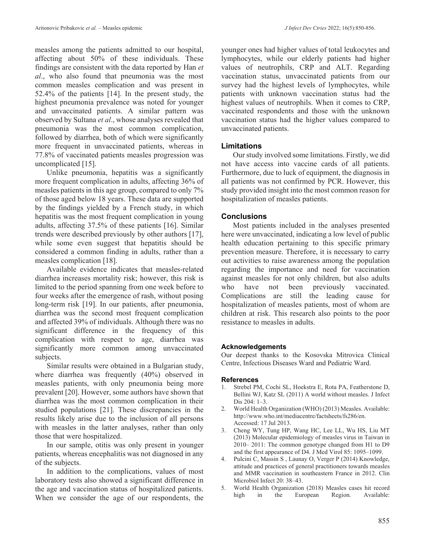measles among the patients admitted to our hospital, affecting about 50% of these individuals. These findings are consistent with the data reported by Han *et al*., who also found that pneumonia was the most common measles complication and was present in 52.4% of the patients [14]. In the present study, the highest pneumonia prevalence was noted for younger and unvaccinated patients. A similar pattern was observed by Sultana *et al*., whose analyses revealed that pneumonia was the most common complication, followed by diarrhea, both of which were significantly more frequent in unvaccinated patients, whereas in 77.8% of vaccinated patients measles progression was uncomplicated [15].

Unlike pneumonia, hepatitis was a significantly more frequent complication in adults, affecting 36% of measles patients in this age group, compared to only 7% of those aged below 18 years. These data are supported by the findings yielded by a French study, in which hepatitis was the most frequent complication in young adults, affecting 37.5% of these patients [16]. Similar trends were described previously by other authors [17], while some even suggest that hepatitis should be considered a common finding in adults, rather than a measles complication [18].

Available evidence indicates that measles-related diarrhea increases mortality risk; however, this risk is limited to the period spanning from one week before to four weeks after the emergence of rash, without posing long-term risk [19]. In our patients, after pneumonia, diarrhea was the second most frequent complication and affected 39% of individuals. Although there was no significant difference in the frequency of this complication with respect to age, diarrhea was significantly more common among unvaccinated subjects.

Similar results were obtained in a Bulgarian study, where diarrhea was frequently (40%) observed in measles patients, with only pneumonia being more prevalent [20]. However, some authors have shown that diarrhea was the most common complication in their studied populations [21]. These discrepancies in the results likely arise due to the inclusion of all persons with measles in the latter analyses, rather than only those that were hospitalized.

In our sample, otitis was only present in younger patients, whereas encephalitis was not diagnosed in any of the subjects.

In addition to the complications, values of most laboratory tests also showed a significant difference in the age and vaccination status of hospitalized patients. When we consider the age of our respondents, the

younger ones had higher values of total leukocytes and lymphocytes, while our elderly patients had higher values of neutrophils, CRP and ALT. Regarding vaccination status, unvaccinated patients from our survey had the highest levels of lymphocytes, while patients with unknown vaccination status had the highest values of neutrophils. When it comes to CRP, vaccinated respondents and those with the unknown vaccination status had the higher values compared to unvaccinated patients.

## **Limitations**

Our study involved some limitations. Firstly, we did not have access into vaccine cards of all patients. Furthermore, due to luck of equipment, the diagnosis in all patients was not confirmed by PCR. However, this study provided insight into the most common reason for hospitalization of measles patients.

## **Conclusions**

Most patients included in the analyses presented here were unvaccinated, indicating a low level of public health education pertaining to this specific primary prevention measure. Therefore, it is necessary to carry out activities to raise awareness among the population regarding the importance and need for vaccination against measles for not only children, but also adults who have not been previously vaccinated. Complications are still the leading cause for hospitalization of measles patients, most of whom are children at risk. This research also points to the poor resistance to measles in adults.

## **Acknowledgements**

Our deepest thanks to the Kosovska Mitrovica Clinical Centre, Infectious Diseases Ward and Pediatric Ward.

#### **References**

- 1. Strebel PM, Cochi SL, Hoekstra E, Rota PA, Featherstone D, Bellini WJ, Katz SL (2011) A world without measles. J Infect Dis 204: 1–3.
- 2. World Health Organization (WHO) (2013) Measles. Available: http://www.who.int/mediacentre/factsheets/fs286/en. Accessed: 17 Jul 2013.
- 3. Cheng WY, Tung HP, Wang HC, Lee LL, Wu HS, Liu MT (2013) Molecular epidemiology of measles virus in Taiwan in 2010– 2011: The common genotype changed from H1 to D9 and the first appearance of D4. J Med Virol 85: 1095–1099.
- 4. Pulcini C, Massin S , Launay O, Verger P (2014) Knowledge, attitude and practices of general practitioners towards measles and MMR vaccination in southeastern France in 2012. Clin Microbiol Infect 20: 38–43.
- 5. World Health Organization (2018) Measles cases hit record high in the European Region. Available: